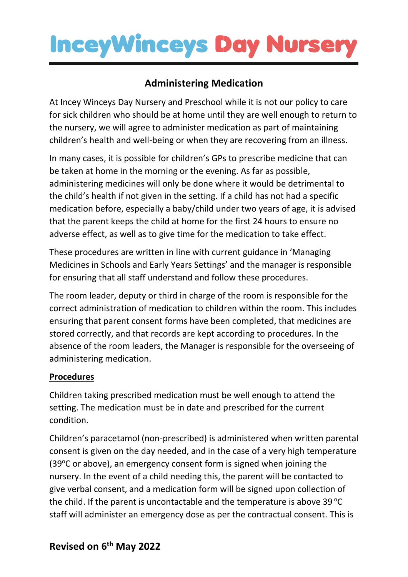### **Administering Medication**

At Incey Winceys Day Nursery and Preschool while it is not our policy to care for sick children who should be at home until they are well enough to return to the nursery, we will agree to administer medication as part of maintaining children's health and well-being or when they are recovering from an illness.

In many cases, it is possible for children's GPs to prescribe medicine that can be taken at home in the morning or the evening. As far as possible, administering medicines will only be done where it would be detrimental to the child's health if not given in the setting. If a child has not had a specific medication before, especially a baby/child under two years of age, it is advised that the parent keeps the child at home for the first 24 hours to ensure no adverse effect, as well as to give time for the medication to take effect.

These procedures are written in line with current guidance in 'Managing Medicines in Schools and Early Years Settings' and the manager is responsible for ensuring that all staff understand and follow these procedures.

The room leader, deputy or third in charge of the room is responsible for the correct administration of medication to children within the room. This includes ensuring that parent consent forms have been completed, that medicines are stored correctly, and that records are kept according to procedures. In the absence of the room leaders, the Manager is responsible for the overseeing of administering medication.

#### **Procedures**

Children taking prescribed medication must be well enough to attend the setting. The medication must be in date and prescribed for the current condition.

Children's paracetamol (non-prescribed) is administered when written parental consent is given on the day needed, and in the case of a very high temperature (39°C or above), an emergency consent form is signed when joining the nursery. In the event of a child needing this, the parent will be contacted to give verbal consent, and a medication form will be signed upon collection of the child. If the parent is uncontactable and the temperature is above  $39^{\circ}$ C staff will administer an emergency dose as per the contractual consent. This is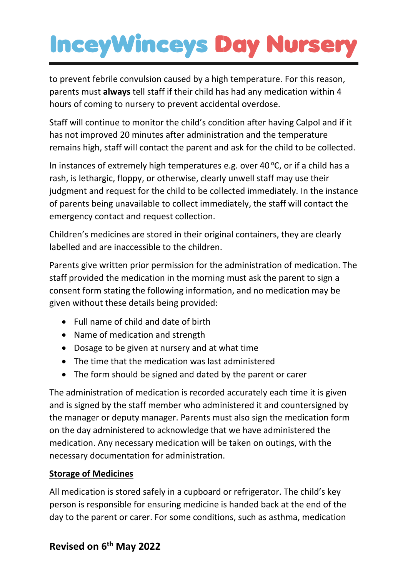to prevent febrile convulsion caused by a high temperature. For this reason, parents must **always** tell staff if their child has had any medication within 4 hours of coming to nursery to prevent accidental overdose.

Staff will continue to monitor the child's condition after having Calpol and if it has not improved 20 minutes after administration and the temperature remains high, staff will contact the parent and ask for the child to be collected.

In instances of extremely high temperatures e.g. over 40  $\degree$ C, or if a child has a rash, is lethargic, floppy, or otherwise, clearly unwell staff may use their judgment and request for the child to be collected immediately. In the instance of parents being unavailable to collect immediately, the staff will contact the emergency contact and request collection.

Children's medicines are stored in their original containers, they are clearly labelled and are inaccessible to the children.

Parents give written prior permission for the administration of medication. The staff provided the medication in the morning must ask the parent to sign a consent form stating the following information, and no medication may be given without these details being provided:

- Full name of child and date of birth
- Name of medication and strength
- Dosage to be given at nursery and at what time
- The time that the medication was last administered
- The form should be signed and dated by the parent or carer

The administration of medication is recorded accurately each time it is given and is signed by the staff member who administered it and countersigned by the manager or deputy manager. Parents must also sign the medication form on the day administered to acknowledge that we have administered the medication. Any necessary medication will be taken on outings, with the necessary documentation for administration.

#### **Storage of Medicines**

All medication is stored safely in a cupboard or refrigerator. The child's key person is responsible for ensuring medicine is handed back at the end of the day to the parent or carer. For some conditions, such as asthma, medication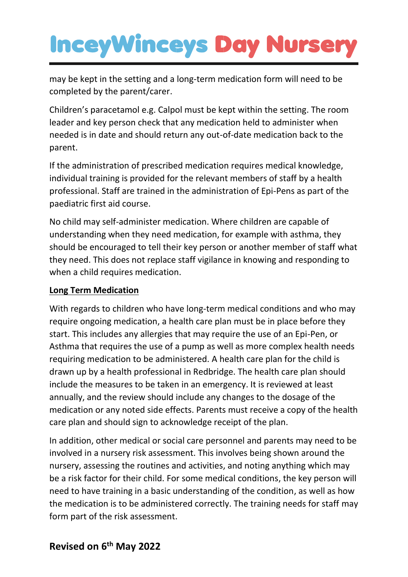may be kept in the setting and a long-term medication form will need to be completed by the parent/carer.

Children's paracetamol e.g. Calpol must be kept within the setting. The room leader and key person check that any medication held to administer when needed is in date and should return any out-of-date medication back to the parent.

If the administration of prescribed medication requires medical knowledge, individual training is provided for the relevant members of staff by a health professional. Staff are trained in the administration of Epi-Pens as part of the paediatric first aid course.

No child may self-administer medication. Where children are capable of understanding when they need medication, for example with asthma, they should be encouraged to tell their key person or another member of staff what they need. This does not replace staff vigilance in knowing and responding to when a child requires medication.

#### **Long Term Medication**

With regards to children who have long-term medical conditions and who may require ongoing medication, a health care plan must be in place before they start. This includes any allergies that may require the use of an Epi-Pen, or Asthma that requires the use of a pump as well as more complex health needs requiring medication to be administered. A health care plan for the child is drawn up by a health professional in Redbridge. The health care plan should include the measures to be taken in an emergency. It is reviewed at least annually, and the review should include any changes to the dosage of the medication or any noted side effects. Parents must receive a copy of the health care plan and should sign to acknowledge receipt of the plan.

In addition, other medical or social care personnel and parents may need to be involved in a nursery risk assessment. This involves being shown around the nursery, assessing the routines and activities, and noting anything which may be a risk factor for their child. For some medical conditions, the key person will need to have training in a basic understanding of the condition, as well as how the medication is to be administered correctly. The training needs for staff may form part of the risk assessment.

### **Revised on 6 th May 2022**